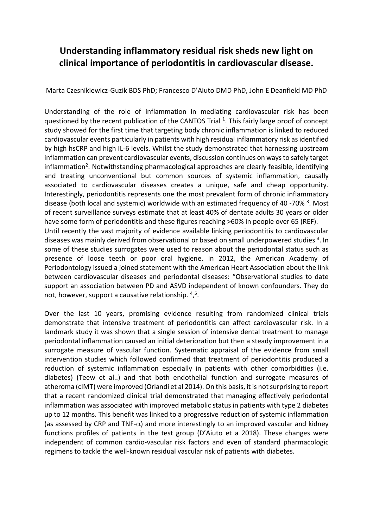## **Understanding inflammatory residual risk sheds new light on clinical importance of periodontitis in cardiovascular disease.**

Marta Czesnikiewicz-Guzik BDS PhD; Francesco D'Aiuto DMD PhD, John E Deanfield MD PhD

Understanding of the role of inflammation in mediating cardiovascular risk has been questioned by the recent publication of the CANTOS Trial <sup>1</sup>. This fairly large proof of concept study showed for the first time that targeting body chronic inflammation is linked to reduced cardiovascular events particularly in patients with high residual inflammatory risk asidentified by high hsCRP and high IL-6 levels. Whilst the study demonstrated that harnessing upstream inflammation can prevent cardiovascular events, discussion continues on ways to safely target inflammation<sup>2</sup>. Notwithstanding pharmacological approaches are clearly feasible, identifying and treating unconventional but common sources of systemic inflammation, causally associated to cardiovascular diseases creates a unique, safe and cheap opportunity. Interestingly, periodontitis represents one the most prevalent form of chronic inflammatory disease (both local and systemic) worldwide with an estimated frequency of 40 -70%<sup>3</sup>. Most of recent surveillance surveys estimate that at least 40% of dentate adults 30 years or older have some form of periodontitis and these figures reaching >60% in people over 65 (REF). Until recently the vast majority of evidence available linking periodontitis to cardiovascular diseases was mainly derived from observational or based on small underpowered studies <sup>3</sup>. In some of these studies surrogates were used to reason about the periodontal status such as presence of loose teeth or poor oral hygiene. In 2012, the American Academy of Periodontology issued a joined statement with the American Heart Association about the link between cardiovascular diseases and periodontal diseases: "Observational studies to date support an association between PD and ASVD independent of known confounders. They do not, however, support a causative relationship. <sup>4</sup>,<sup>5</sup>.

Over the last 10 years, promising evidence resulting from randomized clinical trials demonstrate that intensive treatment of periodontitis can affect cardiovascular risk. In a landmark study it was shown that a single session of intensive dental treatment to manage periodontal inflammation caused an initial deterioration but then a steady improvement in a surrogate measure of vascular function. Systematic appraisal of the evidence from small intervention studies which followed confirmed that treatment of periodontitis produced a reduction of systemic inflammation especially in patients with other comorbidities (i.e. diabetes) (Teew et al..) and that both endothelial function and surrogate measures of atheroma (cIMT) were improved (Orlandi et al 2014). On this basis, it is not surprising to report that a recent randomized clinical trial demonstrated that managing effectively periodontal inflammation was associated with improved metabolic status in patients with type 2 diabetes up to 12 months. This benefit was linked to a progressive reduction of systemic inflammation (as assessed by CRP and TNF- $\alpha$ ) and more interestingly to an improved vascular and kidney functions profiles of patients in the test group (D'Aiuto et a 2018). These changes were independent of common cardio-vascular risk factors and even of standard pharmacologic regimens to tackle the well-known residual vascular risk of patients with diabetes.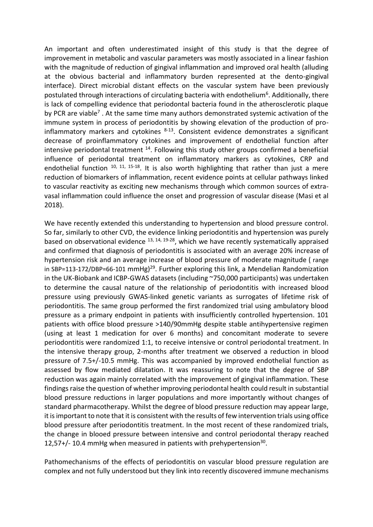An important and often underestimated insight of this study is that the degree of improvement in metabolic and vascular parameters was mostly associated in a linear fashion with the magnitude of reduction of gingival inflammation and improved oral health (alluding at the obvious bacterial and inflammatory burden represented at the dento-gingival interface). Direct microbial distant effects on the vascular system have been previously postulated through interactions of circulating bacteria with endothelium<sup>6</sup>. Additionally, there is lack of compelling evidence that periodontal bacteria found in the atherosclerotic plaque by PCR are viable<sup>7</sup>. At the same time many authors demonstrated systemic activation of the immune system in process of periodontitis by showing elevation of the production of proinflammatory markers and cytokines  $8-13$ . Consistent evidence demonstrates a significant decrease of proinflammatory cytokines and improvement of endothelial function after intensive periodontal treatment  $14$ . Following this study other groups confirmed a beneficial influence of periodontal treatment on inflammatory markers as cytokines, CRP and endothelial function <sup>10, 11, 15-18</sup>. It is also worth highlighting that rather than just a mere reduction of biomarkers of inflammation, recent evidence points at cellular pathways linked to vascular reactivity as exciting new mechanisms through which common sources of extravasal inflammation could influence the onset and progression of vascular disease (Masi et al 2018).

We have recently extended this understanding to hypertension and blood pressure control. So far, similarly to other CVD, the evidence linking periodontitis and hypertension was purely based on observational evidence  $13, 14, 19-28$ , which we have recently systematically appraised and confirmed that diagnosis of periodontitis is associated with an average 20% increase of hypertension risk and an average increase of blood pressure of moderate magnitude ( range in SBP=113-172/DBP=66-101 mmHg)<sup>29</sup>. Further exploring this link, a Mendelian Randomization in the UK-Biobank and ICBP-GWAS datasets (including ~750,000 participants) was undertaken to determine the causal nature of the relationship of periodontitis with increased blood pressure using previously GWAS-linked genetic variants as surrogates of lifetime risk of periodontitis. The same group performed the first randomized trial using ambulatory blood pressure as a primary endpoint in patients with insufficiently controlled hypertension. 101 patients with office blood pressure >140/90mmHg despite stable antihypertensive regimen (using at least 1 medication for over 6 months) and concomitant moderate to severe periodontitis were randomized 1:1, to receive intensive or control periodontal treatment. In the intensive therapy group, 2-months after treatment we observed a reduction in blood pressure of 7.5+/-10.5 mmHg. This was accompanied by improved endothelial function as assessed by flow mediated dilatation. It was reassuring to note that the degree of SBP reduction was again mainly correlated with the improvement of gingival inflammation. These findings raise the question of whether improving periodontal health could result in substantial blood pressure reductions in larger populations and more importantly without changes of standard pharmacotherapy. Whilst the degree of blood pressure reduction may appear large, it is important to note that it is consistent with the results of few intervention trials using office blood pressure after periodontitis treatment. In the most recent of these randomized trials, the change in blooed pressure between intensive and control periodontal therapy reached 12,57+/- 10.4 mmHg when measured in patients with prehypertension $30$ .

Pathomechanisms of the effects of periodontitis on vascular blood pressure regulation are complex and not fully understood but they link into recently discovered immune mechanisms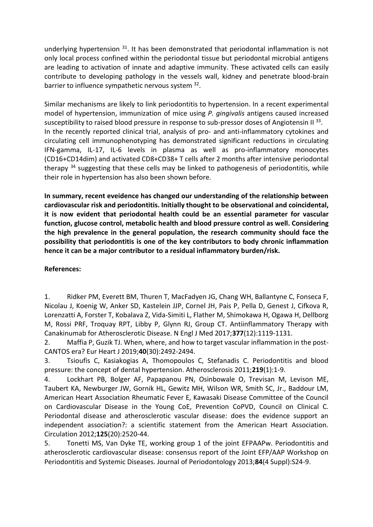underlying hypertension  $31$ . It has been demonstrated that periodontal inflammation is not only local process confined within the periodontal tissue but periodontal microbial antigens are leading to activation of innate and adaptive immunity. These activated cells can easily contribute to developing pathology in the vessels wall, kidney and penetrate blood-brain barrier to influence sympathetic nervous system <sup>32</sup>.

Similar mechanisms are likely to link periodontitis to hypertension. In a recent experimental model of hypertension, immunization of mice using *P. gingivalis* antigens caused increased susceptibility to raised blood pressure in response to sub-pressor doses of Angiotensin II<sup>33</sup>. In the recently reported clinical trial, analysis of pro- and anti-inflammatory cytokines and circulating cell immunophenotyping has demonstrated significant reductions in circulating IFN-gamma, IL-17, IL-6 levels in plasma as well as pro-inflammatory monocytes (CD16+CD14dim) and activated CD8+CD38+ T cells after 2 months after intensive periodontal therapy <sup>34</sup> suggesting that these cells may be linked to pathogenesis of periodontitis, while their role in hypertension has also been shown before.

**In summary, recent eveidence has changed our understanding of the relationship between cardiovascular risk and periodontitis. Initially thought to be observational and coincidental, it is now evident that periodontal health could be an essential parameter for vascular function, glucose control, metabolic health and blood pressure control as well. Considering the high prevalence in the general population, the research community should face the possibility that periodontitis is one of the key contributors to body chronic inflammation hence it can be a major contributor to a residual inflammatory burden/risk.** 

## **References:**

1. Ridker PM, Everett BM, Thuren T, MacFadyen JG, Chang WH, Ballantyne C, Fonseca F, Nicolau J, Koenig W, Anker SD, Kastelein JJP, Cornel JH, Pais P, Pella D, Genest J, Cifkova R, Lorenzatti A, Forster T, Kobalava Z, Vida-Simiti L, Flather M, Shimokawa H, Ogawa H, Dellborg M, Rossi PRF, Troquay RPT, Libby P, Glynn RJ, Group CT. Antiinflammatory Therapy with Canakinumab for Atherosclerotic Disease. N Engl J Med 2017;**377**(12):1119-1131.

2. Maffia P, Guzik TJ. When, where, and how to target vascular inflammation in the post-CANTOS era? Eur Heart J 2019;**40**(30):2492-2494.

3. Tsioufis C, Kasiakogias A, Thomopoulos C, Stefanadis C. Periodontitis and blood pressure: the concept of dental hypertension. Atherosclerosis 2011;**219**(1):1-9.

4. Lockhart PB, Bolger AF, Papapanou PN, Osinbowale O, Trevisan M, Levison ME, Taubert KA, Newburger JW, Gornik HL, Gewitz MH, Wilson WR, Smith SC, Jr., Baddour LM, American Heart Association Rheumatic Fever E, Kawasaki Disease Committee of the Council on Cardiovascular Disease in the Young CoE, Prevention CoPVD, Council on Clinical C. Periodontal disease and atherosclerotic vascular disease: does the evidence support an independent association?: a scientific statement from the American Heart Association. Circulation 2012;**125**(20):2520-44.

5. Tonetti MS, Van Dyke TE, working group 1 of the joint EFPAAPw. Periodontitis and atherosclerotic cardiovascular disease: consensus report of the Joint EFP/AAP Workshop on Periodontitis and Systemic Diseases. Journal of Periodontology 2013;**84**(4 Suppl):S24-9.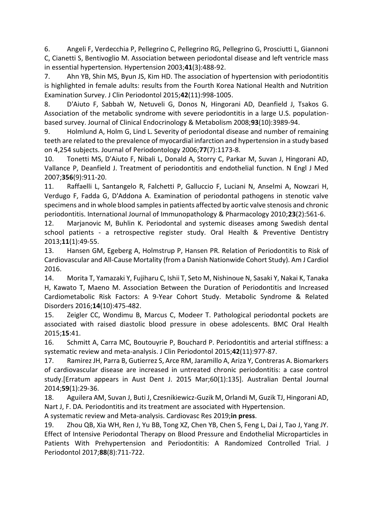6. Angeli F, Verdecchia P, Pellegrino C, Pellegrino RG, Pellegrino G, Prosciutti L, Giannoni C, Cianetti S, Bentivoglio M. Association between periodontal disease and left ventricle mass in essential hypertension. Hypertension 2003;**41**(3):488-92.

7. Ahn YB, Shin MS, Byun JS, Kim HD. The association of hypertension with periodontitis is highlighted in female adults: results from the Fourth Korea National Health and Nutrition Examination Survey. J Clin Periodontol 2015;**42**(11):998-1005.

8. D'Aiuto F, Sabbah W, Netuveli G, Donos N, Hingorani AD, Deanfield J, Tsakos G. Association of the metabolic syndrome with severe periodontitis in a large U.S. populationbased survey. Journal of Clinical Endocrinology & Metabolism 2008;**93**(10):3989-94.

9. Holmlund A, Holm G, Lind L. Severity of periodontal disease and number of remaining teeth are related to the prevalence of myocardial infarction and hypertension in a study based on 4,254 subjects. Journal of Periodontology 2006;**77**(7):1173-8.

10. Tonetti MS, D'Aiuto F, Nibali L, Donald A, Storry C, Parkar M, Suvan J, Hingorani AD, Vallance P, Deanfield J. Treatment of periodontitis and endothelial function. N Engl J Med 2007;**356**(9):911-20.

11. Raffaelli L, Santangelo R, Falchetti P, Galluccio F, Luciani N, Anselmi A, Nowzari H, Verdugo F, Fadda G, D'Addona A. Examination of periodontal pathogens in stenotic valve specimens and in whole blood samples in patients affected by aortic valve stenosis and chronic periodontitis. International Journal of Immunopathology & Pharmacology 2010;**23**(2):561-6.

12. Marjanovic M, Buhlin K. Periodontal and systemic diseases among Swedish dental school patients - a retrospective register study. Oral Health & Preventive Dentistry 2013;**11**(1):49-55.

13. Hansen GM, Egeberg A, Holmstrup P, Hansen PR. Relation of Periodontitis to Risk of Cardiovascular and All-Cause Mortality (from a Danish Nationwide Cohort Study). Am J Cardiol 2016.

14. Morita T, Yamazaki Y, Fujiharu C, Ishii T, Seto M, Nishinoue N, Sasaki Y, Nakai K, Tanaka H, Kawato T, Maeno M. Association Between the Duration of Periodontitis and Increased Cardiometabolic Risk Factors: A 9-Year Cohort Study. Metabolic Syndrome & Related Disorders 2016;**14**(10):475-482.

15. Zeigler CC, Wondimu B, Marcus C, Modeer T. Pathological periodontal pockets are associated with raised diastolic blood pressure in obese adolescents. BMC Oral Health 2015;**15**:41.

16. Schmitt A, Carra MC, Boutouyrie P, Bouchard P. Periodontitis and arterial stiffness: a systematic review and meta-analysis. J Clin Periodontol 2015;**42**(11):977-87.

17. Ramirez JH, Parra B, Gutierrez S, Arce RM, Jaramillo A, Ariza Y, Contreras A. Biomarkers of cardiovascular disease are increased in untreated chronic periodontitis: a case control study.[Erratum appears in Aust Dent J. 2015 Mar;60(1):135]. Australian Dental Journal 2014;**59**(1):29-36.

18. Aguilera AM, Suvan J, Buti J, Czesnikiewicz-Guzik M, Orlandi M, Guzik TJ, Hingorani AD, Nart J, F. DA. Periodontitis and its treatment are associated with Hypertension.

A systematic review and Meta-analysis. Cardiovasc Res 2019;**in press**.

19. Zhou QB, Xia WH, Ren J, Yu BB, Tong XZ, Chen YB, Chen S, Feng L, Dai J, Tao J, Yang JY. Effect of Intensive Periodontal Therapy on Blood Pressure and Endothelial Microparticles in Patients With Prehypertension and Periodontitis: A Randomized Controlled Trial. J Periodontol 2017;**88**(8):711-722.